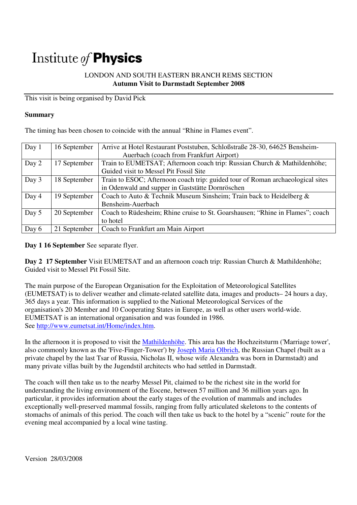# Institute of **Physics**

### LONDON AND SOUTH EASTERN BRANCH REMS SECTION **Autumn Visit to Darmstadt September 2008**

This visit is being organised by David Pick

#### **Summary**

The timing has been chosen to coincide with the annual "Rhine in Flames event".

| Day 1 | 16 September | Arrive at Hotel Restaurant Poststuben, Schloßstraße 28-30, 64625 Bensheim-     |
|-------|--------------|--------------------------------------------------------------------------------|
|       |              | Auerbach (coach from Frankfurt Airport)                                        |
| Day 2 | 17 September | Train to EUMETSAT; Afternoon coach trip: Russian Church & Mathildenhöhe;       |
|       |              | Guided visit to Messel Pit Fossil Site                                         |
| Day 3 | 18 September | Train to ESOC; Afternoon coach trip: guided tour of Roman archaeological sites |
|       |              | in Odenwald and supper in Gaststätte Dornröschen                               |
| Day 4 | 19 September | Coach to Auto & Technik Museum Sinsheim; Train back to Heidelberg &            |
|       |              | Bensheim-Auerbach                                                              |
| Day 5 | 20 September | Coach to Rüdesheim; Rhine cruise to St. Goarshausen; "Rhine in Flames"; coach  |
|       |              | to hotel                                                                       |
| Day 6 | 21 September | Coach to Frankfurt am Main Airport                                             |

#### **Day 1 16 September** See separate flyer.

**Day 2 17 September** Visit EUMETSAT and an afternoon coach trip: Russian Church & Mathildenhöhe; Guided visit to Messel Pit Fossil Site.

The main purpose of the European Organisation for the Exploitation of Meteorological Satellites (EUMETSAT) is to deliver weather and climate-related satellite data, images and products– 24 hours a day, 365 days a year. This information is supplied to the National Meteorological Services of the organisation's 20 Member and 10 Cooperating States in Europe, as well as other users world-wide. EUMETSAT is an international organisation and was founded in 1986. See http://www.eumetsat.int/Home/index.htm.

In the afternoon it is proposed to visit the Mathildenhöhe. This area has the Hochzeitsturm ('Marriage tower', also commonly known as the 'Five-Finger-Tower') by Joseph Maria Olbrich, the Russian Chapel *(*built as a private chapel by the last Tsar of Russia, Nicholas II, whose wife Alexandra was born in Darmstadt) and many private villas built by the Jugendstil architects who had settled in Darmstadt.

The coach will then take us to the nearby Messel Pit, claimed to be the richest site in the world for understanding the living environment of the Eocene, between 57 million and 36 million years ago. In particular, it provides information about the early stages of the evolution of mammals and includes exceptionally well-preserved mammal fossils, ranging from fully articulated skeletons to the contents of stomachs of animals of this period. The coach will then take us back to the hotel by a "scenic" route for the evening meal accompanied by a local wine tasting.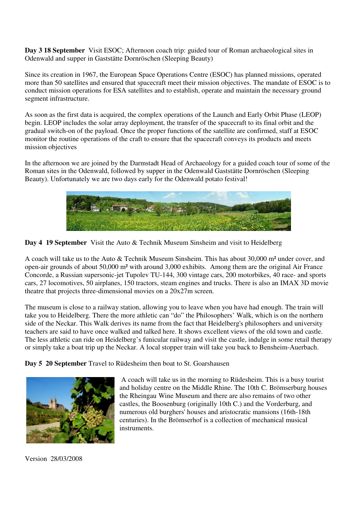**Day 3 18 September** Visit ESOC; Afternoon coach trip: guided tour of Roman archaeological sites in Odenwald and supper in Gaststätte Dornröschen (Sleeping Beauty)

Since its creation in 1967, the European Space Operations Centre (ESOC) has planned missions, operated more than 50 satellites and ensured that spacecraft meet their mission objectives. The mandate of ESOC is to conduct mission operations for ESA satellites and to establish, operate and maintain the necessary ground segment infrastructure.

As soon as the first data is acquired, the complex operations of the Launch and Early Orbit Phase (LEOP) begin. LEOP includes the solar array deployment, the transfer of the spacecraft to its final orbit and the gradual switch-on of the payload. Once the proper functions of the satellite are confirmed, staff at ESOC monitor the routine operations of the craft to ensure that the spacecraft conveys its products and meets mission objectives

In the afternoon we are joined by the Darmstadt Head of Archaeology for a guided coach tour of some of the Roman sites in the Odenwald, followed by supper in the Odenwald Gaststätte Dornröschen (Sleeping Beauty). Unfortunately we are two days early for the Odenwald potato festival!



**Day 4 19 September** Visit the Auto & Technik Museum Sinsheim and visit to Heidelberg

A coach will take us to the Auto & Technik Museum Sinsheim. This has about 30,000 m² under cover, and open-air grounds of about 50,000 m² with around 3,000 exhibits. Among them are the original Air France Concorde, a Russian supersonic-jet Tupolev TU-144, 300 vintage cars, 200 motorbikes, 40 race- and sports cars, 27 locomotives, 50 airplanes, 150 tractors, steam engines and trucks. There is also an IMAX 3D movie theatre that projects three-dimensional movies on a 20x27m screen.

The museum is close to a railway station, allowing you to leave when you have had enough. The train will take you to Heidelberg. There the more athletic can "do" the Philosophers' Walk, which is on the northern side of the Neckar. This Walk derives its name from the fact that Heidelberg's philosophers and university teachers are said to have once walked and talked here. It shows excellent views of the old town and castle. The less athletic can ride on Heidelberg's funicular railway and visit the castle, indulge in some retail therapy or simply take a boat trip up the Neckar. A local stopper train will take you back to Bensheim-Auerbach.

**Day 5 20 September** Travel to Rüdesheim then boat to St. Goarshausen



 A coach will take us in the morning to Rüdesheim. This is a busy tourist and holiday centre on the Middle Rhine. The 10th C. Brömserburg houses the Rheingau Wine Museum and there are also remains of two other castles, the Boosenburg (originally 10th C.) and the Vorderburg, and numerous old burghers' houses and aristocratic mansions (16th-18th centuries). In the Brömserhof is a collection of mechanical musical instruments.

Version 28/03/2008